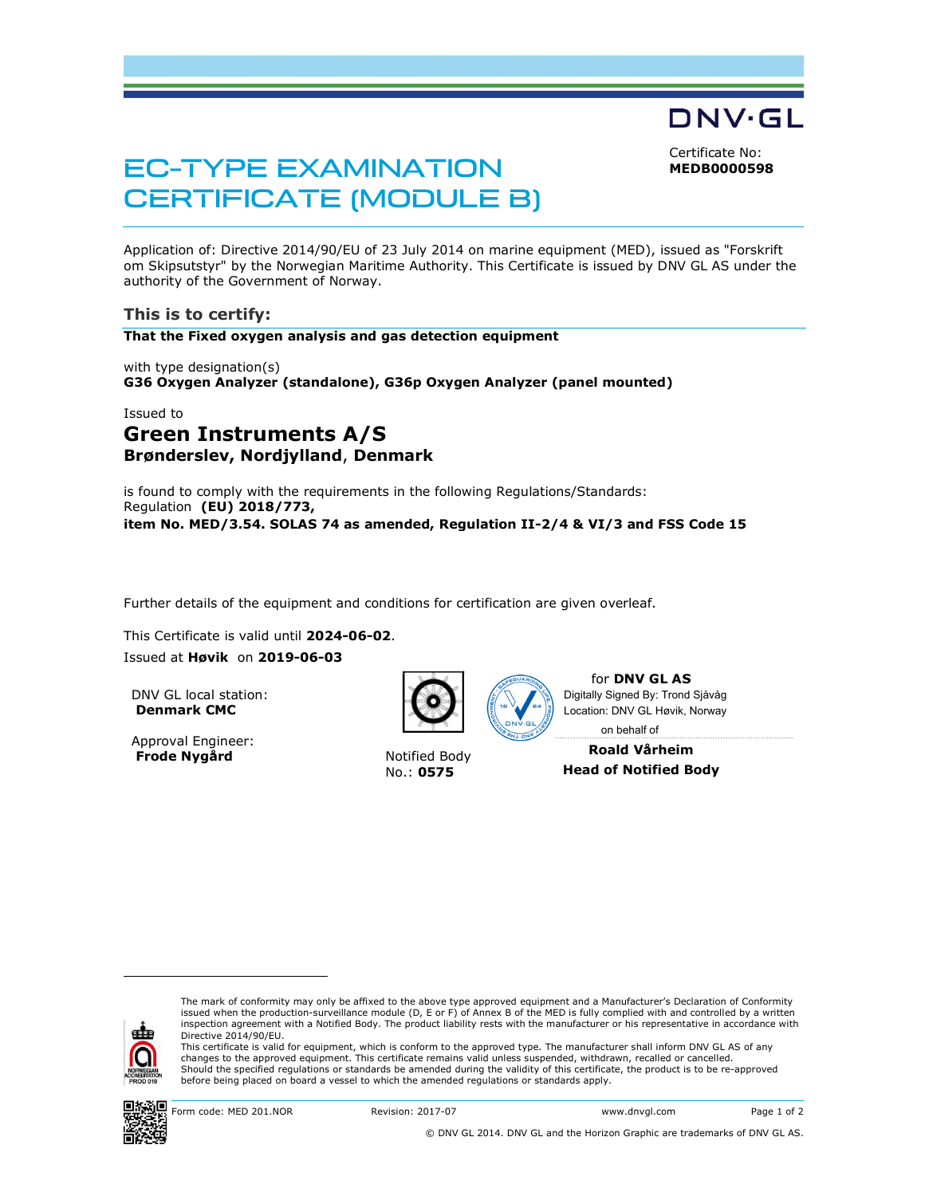Certificate No: MEDB0000598

DNV·GL

# EC-TYPE EXAMINATION CERTIFICATE (MODULE B)

Application of: Directive 2014/90/EU of 23 July 2014 on marine equipment (MED), issued as "Forskrift om Skipsutstyr" by the Norwegian Maritime Authority. This Certificate is issued by DNV GL AS under the authority of the Government of Norway.

### This is to certify:

That the Fixed oxygen analysis and gas detection equipment

with type designation(s) G36 Oxygen Analyzer (standalone), G36p Oxygen Analyzer (panel mounted)

#### Issued to

# Green Instruments A/S Brønderslev, Nordjylland, Denmark

is found to comply with the requirements in the following Regulations/Standards: Regulation (EU) 2018/773, item No. MED/3.54. SOLAS 74 as amended, Regulation II-2/4 & VI/3 and FSS Code 15

Further details of the equipment and conditions for certification are given overleaf.

This Certificate is valid until 2024-06-02.

Issued at Høvik on 2019-06-03

DNV GL local station: Denmark CMC

Approval Engineer: Frode Nygård Notified Body



No.: 0575



for DNV GL AS on behalf ofDigitally Signed By: Trond Sjåvåg Location: DNV GL Høvik, Norway

Roald Vårheim Head of Notified Body

i<br>S

The mark of conformity may only be affixed to the above type approved equipment and a Manufacturer's Declaration of Conformity<br>issued when the production-surveillance module (D, E or F) of Annex B of the MED is fully compl inspection agreement with a Notified Body. The product liability rests with the manufacturer or his representative in accordance with Directive 2014/90/EU.

This certificate is valid for equipment, which is conform to the approved type. The manufacturer shall inform DNV GL AS of any changes to the approved equipment. This certificate remains valid unless suspended, withdrawn, recalled or cancelled. Should the specified regulations or standards be amended during the validity of this certificate, the product is to be re-approved before being placed on board a vessel to which the amended regulations or standards apply.



Form code: MED 201.NOR Revision: 2017-07 www.dnvgl.com Page 1 of 2